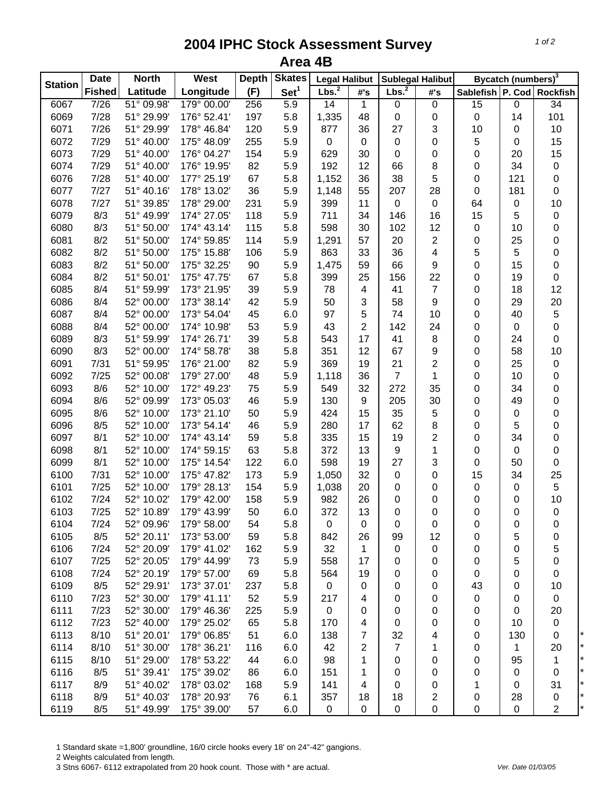## **2004 IPHC Stock Assessment Survey Area 4B**

| <b>Station</b> | <b>Date</b>   | <b>North</b> | West        | <b>Depth</b> | <b>Skates</b><br><b>Legal Halibut</b> |                   |                  | <b>Sublegal Halibut</b> |                | Bycatch (numbers) <sup>3</sup> |                  |                           |
|----------------|---------------|--------------|-------------|--------------|---------------------------------------|-------------------|------------------|-------------------------|----------------|--------------------------------|------------------|---------------------------|
|                | <b>Fished</b> | Latitude     | Longitude   | (F)          | Set <sup>1</sup>                      | Lbs. <sup>2</sup> | #'s              | Lbs. <sup>2</sup>       | #'s            |                                |                  | Sablefish P. Cod Rockfish |
| 6067           | 7/26          | 51° 09.98'   | 179° 00.00' | 256          | $\overline{5.9}$                      | 14                | $\mathbf{1}$     | $\overline{0}$          | $\pmb{0}$      | 15                             | 0                | $\overline{34}$           |
| 6069           | 7/28          | 51° 29.99'   | 176° 52.41' | 197          | 5.8                                   | 1,335             | 48               | 0                       | 0              | 0                              | 14               | 101                       |
| 6071           | 7/26          | 51° 29.99'   | 178° 46.84' | 120          | 5.9                                   | 877               | 36               | 27                      | 3              | 10                             | 0                | 10                        |
| 6072           | 7/29          | 51° 40.00'   | 175° 48.09' | 255          | 5.9                                   | 0                 | $\pmb{0}$        | 0                       | 0              | 5                              | 0                | 15                        |
| 6073           | 7/29          | 51° 40.00'   | 176° 04.27' | 154          | 5.9                                   | 629               | 30               | $\mathbf 0$             | 0              | 0                              | 20               | 15                        |
| 6074           | 7/29          | 51° 40.00'   | 176° 19.95' | 82           | 5.9                                   | 192               | 12               | 66                      | 8              | 0                              | 34               | $\pmb{0}$                 |
| 6076           | 7/28          | 51° 40.00'   | 177° 25.19' | 67           | 5.8                                   | 1,152             | 36               | 38                      | 5              | 0                              | 121              | $\mathbf 0$               |
| 6077           | 7/27          | 51° 40.16'   | 178° 13.02' | 36           | 5.9                                   | 1,148             | 55               | 207                     | 28             | 0                              | 181              | $\mathbf 0$               |
| 6078           | 7/27          | 51° 39.85'   | 178° 29.00' | 231          | 5.9                                   | 399               | 11               | $\pmb{0}$               | 0              | 64                             | $\pmb{0}$        | 10                        |
| 6079           | 8/3           | 51° 49.99'   | 174° 27.05' | 118          | 5.9                                   | 711               | 34               | 146                     | 16             | 15                             | 5                | $\pmb{0}$                 |
| 6080           | 8/3           | 51° 50.00    | 174° 43.14' | 115          | 5.8                                   | 598               | 30               | 102                     | 12             | 0                              | 10               | 0                         |
| 6081           | 8/2           | 51° 50.00'   | 174° 59.85' | 114          | 5.9                                   | 1,291             | 57               | 20                      | 2              | 0                              | 25               | 0                         |
| 6082           | 8/2           | 51° 50.00    | 175° 15.88' | 106          | 5.9                                   | 863               | 33               | 36                      | 4              | 5                              | 5                | 0                         |
| 6083           | 8/2           | 51° 50.00    | 175° 32.25' | 90           | 5.9                                   | 1,475             | 59               | 66                      | 9              | 0                              | 15               | 0                         |
| 6084           | 8/2           | 51° 50.01'   | 175° 47.75' | 67           | 5.8                                   | 399               | 25               | 156                     | 22             | 0                              | 19               | 0                         |
| 6085           | 8/4           | 51° 59.99'   | 173° 21.95' | 39           | 5.9                                   | 78                | 4                | 41                      | $\overline{7}$ | 0                              | 18               | 12                        |
| 6086           | 8/4           | 52° 00.00'   | 173° 38.14' | 42           | 5.9                                   | 50                | 3                | 58                      | 9              | 0                              | 29               | 20                        |
| 6087           | 8/4           | 52° 00.00'   | 173° 54.04' | 45           | 6.0                                   | 97                | 5                | 74                      | 10             | 0                              | 40               | 5                         |
| 6088           | 8/4           | 52° 00.00'   | 174° 10.98' | 53           | 5.9                                   | 43                | $\overline{2}$   | 142                     | 24             | 0                              | $\boldsymbol{0}$ | 0                         |
| 6089           | 8/3           | 51° 59.99'   | 174° 26.71' | 39           | 5.8                                   | 543               | 17               | 41                      | 8              | 0                              | 24               | 0                         |
| 6090           | 8/3           | 52° 00.00'   | 174° 58.78' | 38           | 5.8                                   | 351               | 12               | 67                      | 9              | 0                              | 58               | 10                        |
| 6091           | 7/31          | 51° 59.95'   | 176° 21.00' | 82           | 5.9                                   | 369               | 19               | 21                      | 2              | 0                              | 25               | $\pmb{0}$                 |
| 6092           | 7/25          | 52° 00.08'   | 179° 27.00' | 48           | 5.9                                   | 1,118             | 36               | $\overline{7}$          | $\mathbf 1$    | 0                              | 10               | 0                         |
| 6093           | 8/6           | 52° 10.00'   | 172° 49.23' | 75           | 5.9                                   | 549               | 32               | 272                     | 35             | 0                              | 34               | 0                         |
| 6094           | 8/6           | 52° 09.99'   | 173° 05.03' | 46           | 5.9                                   | 130               | $\boldsymbol{9}$ | 205                     | 30             | 0                              | 49               | 0                         |
| 6095           | 8/6           | 52° 10.00'   | 173° 21.10' | 50           | 5.9                                   | 424               | 15               | 35                      | 5              | 0                              | $\pmb{0}$        | 0                         |
| 6096           | 8/5           | 52° 10.00'   | 173° 54.14' | 46           | 5.9                                   | 280               | 17               | 62                      | 8              | 0                              | 5                | 0                         |
| 6097           | 8/1           | 52° 10.00'   | 174° 43.14' | 59           | 5.8                                   | 335               | 15               | 19                      | 2              | 0                              | 34               | 0                         |
| 6098           | 8/1           | 52° 10.00'   | 174° 59.15' | 63           | 5.8                                   | 372               | 13               | 9                       | 1              | 0                              | $\mathbf 0$      | 0                         |
| 6099           | 8/1           | 52° 10.00'   | 175° 14.54' | 122          | 6.0                                   | 598               | 19               | 27                      | 3              | 0                              | 50               | 0                         |
| 6100           | 7/31          | 52° 10.00'   | 175° 47.82' | 173          | 5.9                                   | 1,050             | 32               | $\pmb{0}$               | 0              | 15                             | 34               | 25                        |
| 6101           | 7/25          | 52° 10.00'   | 179° 28.13' | 154          | 5.9                                   | 1,038             | 20               | 0                       | 0              | 0                              | $\pmb{0}$        | 5                         |
| 6102           | 7/24          | 52° 10.02'   | 179° 42.00' | 158          | 5.9                                   | 982               | 26               | 0                       | 0              | 0                              | 0                | 10                        |
| 6103           | 7/25          | 52° 10.89'   | 179° 43.99' | 50           | 6.0                                   | 372               | 13               | 0                       | 0              | 0                              | 0                | $\pmb{0}$                 |
| 6104           | 7/24          | 52° 09.96'   | 179° 58.00' | 54           | 5.8                                   | 0                 | 0                | 0                       | 0              | 0                              | 0                | 0                         |
| 6105           | 8/5           | 52° 20.11'   | 173° 53.00' | 59           | 5.8                                   | 842               | 26               | 99                      | 12             | 0                              | 5                | 0                         |
| 6106           | 7/24          | 52° 20.09'   | 179° 41.02' | 162          | 5.9                                   | 32                | 1                | 0                       | 0              | 0                              | 0                | 5                         |
| 6107           | 7/25          | 52° 20.05'   | 179° 44.99' | 73           | 5.9                                   | 558               | 17               | 0                       | 0              | 0                              | 5                | 0                         |
| 6108           | 7/24          | 52° 20.19'   | 179° 57.00' | 69           | 5.8                                   | 564               | 19               | 0                       | 0              | 0                              | 0                | $\pmb{0}$                 |
| 6109           | 8/5           | 52° 29.91'   | 173° 37.01' | 237          | 5.8                                   | 0                 | $\pmb{0}$        | 0                       | 0              | 43                             | 0                | 10                        |
| 6110           | 7/23          | 52° 30.00'   | 179° 41.11' | 52           | 5.9                                   | 217               | 4                | 0                       | 0              | 0                              | 0                | $\mathbf 0$               |
| 6111           | 7/23          | 52° 30.00'   | 179° 46.36' | 225          | 5.9                                   | 0                 | 0                | 0                       | 0              | 0                              | 0                | 20                        |
| 6112           | 7/23          | 52° 40.00'   | 179° 25.02' |              | 5.8                                   | 170               |                  |                         |                |                                | 10               |                           |
| 6113           | 8/10          | 51° 20.01'   | 179° 06.85' | 65<br>51     |                                       |                   | 4<br>7           | 0                       | 0              | 0                              |                  | $\pmb{0}$                 |
| 6114           | 8/10          |              |             |              | 6.0                                   | 138               |                  | 32                      | 4              | 0                              | 130              | 0                         |
|                |               | 51° 30.00'   | 178° 36.21' | 116          | 6.0                                   | 42                | 2                | 7                       | 1              | 0                              | 1                | 20                        |
| 6115           | 8/10          | 51° 29.00'   | 178° 53.22' | 44           | 6.0                                   | 98                | 1                | 0                       | 0              | 0                              | 95               | 1                         |
| 6116           | 8/5           | 51° 39.41'   | 175° 39.02' | 86           | 6.0                                   | 151               | 1                | 0                       | 0              | 0                              | 0                | 0                         |
| 6117<br>6118   | 8/9           | 51° 40.02'   | 178° 03.02' | 168          | 5.9                                   | 141               | 4                | 0                       | 0              | 1                              | 0                | 31                        |
|                | 8/9           | 51° 40.03'   | 178° 20.93' | 76           | 6.1                                   | 357               | 18               | 18                      | 2              | 0                              | 28               | 0                         |
| 6119           | 8/5           | 51° 49.99'   | 175° 39.00' | 57           | 6.0                                   | 0                 | $\pmb{0}$        | $\pmb{0}$               | 0              | 0                              | $\mathsf 0$      | 2                         |

1 Standard skate =1,800' groundline, 16/0 circle hooks every 18' on 24"-42" gangions.

2 Weights calculated from length.

3 Stns 6067- 6112 extrapolated from 20 hook count. Those with \* are actual. *Ver. Date 01/03/05*